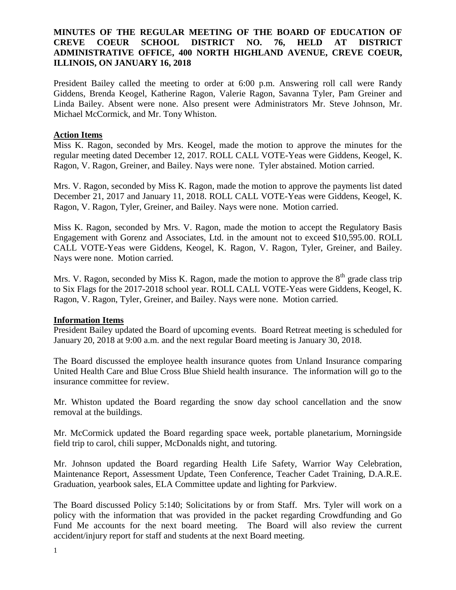# **MINUTES OF THE REGULAR MEETING OF THE BOARD OF EDUCATION OF CREVE COEUR SCHOOL DISTRICT NO. 76, HELD AT DISTRICT ADMINISTRATIVE OFFICE, 400 NORTH HIGHLAND AVENUE, CREVE COEUR, ILLINOIS, ON JANUARY 16, 2018**

President Bailey called the meeting to order at 6:00 p.m. Answering roll call were Randy Giddens, Brenda Keogel, Katherine Ragon, Valerie Ragon, Savanna Tyler, Pam Greiner and Linda Bailey. Absent were none. Also present were Administrators Mr. Steve Johnson, Mr. Michael McCormick, and Mr. Tony Whiston.

### **Action Items**

Miss K. Ragon, seconded by Mrs. Keogel, made the motion to approve the minutes for the regular meeting dated December 12, 2017. ROLL CALL VOTE-Yeas were Giddens, Keogel, K. Ragon, V. Ragon, Greiner, and Bailey. Nays were none. Tyler abstained. Motion carried.

Mrs. V. Ragon, seconded by Miss K. Ragon, made the motion to approve the payments list dated December 21, 2017 and January 11, 2018. ROLL CALL VOTE-Yeas were Giddens, Keogel, K. Ragon, V. Ragon, Tyler, Greiner, and Bailey. Nays were none. Motion carried.

Miss K. Ragon, seconded by Mrs. V. Ragon, made the motion to accept the Regulatory Basis Engagement with Gorenz and Associates, Ltd. in the amount not to exceed \$10,595.00. ROLL CALL VOTE-Yeas were Giddens, Keogel, K. Ragon, V. Ragon, Tyler, Greiner, and Bailey. Nays were none. Motion carried.

Mrs. V. Ragon, seconded by Miss K. Ragon, made the motion to approve the  $8<sup>th</sup>$  grade class trip to Six Flags for the 2017-2018 school year. ROLL CALL VOTE-Yeas were Giddens, Keogel, K. Ragon, V. Ragon, Tyler, Greiner, and Bailey. Nays were none. Motion carried.

#### **Information Items**

President Bailey updated the Board of upcoming events. Board Retreat meeting is scheduled for January 20, 2018 at 9:00 a.m. and the next regular Board meeting is January 30, 2018.

The Board discussed the employee health insurance quotes from Unland Insurance comparing United Health Care and Blue Cross Blue Shield health insurance. The information will go to the insurance committee for review.

Mr. Whiston updated the Board regarding the snow day school cancellation and the snow removal at the buildings.

Mr. McCormick updated the Board regarding space week, portable planetarium, Morningside field trip to carol, chili supper, McDonalds night, and tutoring.

Mr. Johnson updated the Board regarding Health Life Safety, Warrior Way Celebration, Maintenance Report, Assessment Update, Teen Conference, Teacher Cadet Training, D.A.R.E. Graduation, yearbook sales, ELA Committee update and lighting for Parkview.

The Board discussed Policy 5:140; Solicitations by or from Staff. Mrs. Tyler will work on a policy with the information that was provided in the packet regarding Crowdfunding and Go Fund Me accounts for the next board meeting. The Board will also review the current accident/injury report for staff and students at the next Board meeting.